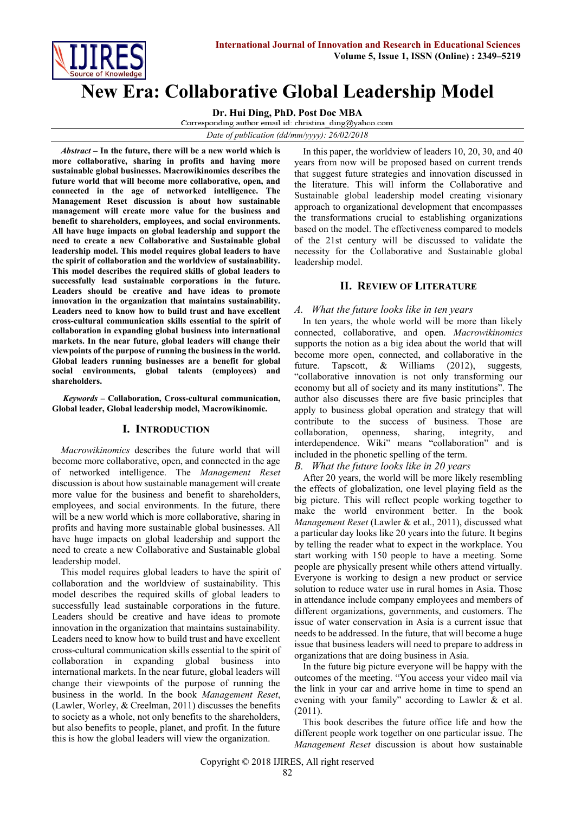

# **New Era: Collaborative Global Leadership Model**

**Dr. Hui Ding, PhD. Post Doc MBA**

*Date of publication (dd/mm/yyyy): 26/02/2018*

*Abstract* **– In the future, there will be a new world which is more collaborative, sharing in profits and having more sustainable global businesses. Macrowikinomics describes the future world that will become more collaborative, open, and connected in the age of networked intelligence. The Management Reset discussion is about how sustainable management will create more value for the business and benefit to shareholders, employees, and social environments. All have huge impacts on global leadership and support the need to create a new Collaborative and Sustainable global leadership model. This model requires global leaders to have the spirit of collaboration and the worldview of sustainability. This model describes the required skills of global leaders to successfully lead sustainable corporations in the future. Leaders should be creative and have ideas to promote innovation in the organization that maintains sustainability. Leaders need to know how to build trust and have excellent cross-cultural communication skills essential to the spirit of collaboration in expanding global business into international markets. In the near future, global leaders will change their viewpoints of the purpose of running the business in the world. Global leaders running businesses are a benefit for global social environments, global talents (employees) and shareholders.**

*Keywords* **– Collaboration, Cross-cultural communication, Global leader, Global leadership model, Macrowikinomic.**

# **I. INTRODUCTION**

*Macrowikinomics* describes the future world that will become more collaborative, open, and connected in the age of networked intelligence. The *Management Reset*  discussion is about how sustainable management will create more value for the business and benefit to shareholders, employees, and social environments. In the future, there will be a new world which is more collaborative, sharing in profits and having more sustainable global businesses. All have huge impacts on global leadership and support the need to create a new Collaborative and Sustainable global leadership model.

This model requires global leaders to have the spirit of collaboration and the worldview of sustainability. This model describes the required skills of global leaders to successfully lead sustainable corporations in the future. Leaders should be creative and have ideas to promote innovation in the organization that maintains sustainability. Leaders need to know how to build trust and have excellent cross-cultural communication skills essential to the spirit of collaboration in expanding global business into international markets. In the near future, global leaders will change their viewpoints of the purpose of running the business in the world. In the book *Management Reset*, (Lawler, Worley, & Creelman, 2011) discusses the benefits to society as a whole, not only benefits to the shareholders, but also benefits to people, planet, and profit. In the future this is how the global leaders will view the organization.

In this paper, the worldview of leaders 10, 20, 30, and 40 years from now will be proposed based on current trends that suggest future strategies and innovation discussed in the literature. This will inform the Collaborative and Sustainable global leadership model creating visionary approach to organizational development that encompasses the transformations crucial to establishing organizations based on the model. The effectiveness compared to models of the 21st century will be discussed to validate the necessity for the Collaborative and Sustainable global leadership model.

# **II. REVIEW OF LITERATURE**

## *A. What the future looks like in ten years*

In ten years, the whole world will be more than likely connected, collaborative, and open. *Macrowikinomics*  supports the notion as a big idea about the world that will become more open, connected, and collaborative in the future. Tapscott, & Williams (2012), suggests*,* "collaborative innovation is not only transforming our economy but all of society and its many institutions". The author also discusses there are five basic principles that apply to business global operation and strategy that will contribute to the success of business. Those are collaboration, openness, sharing, integrity, and interdependence. Wiki" means "collaboration" and is included in the phonetic spelling of the term.

## *B. What the future looks like in 20 years*

After 20 years, the world will be more likely resembling the effects of globalization, one level playing field as the big picture. This will reflect people working together to make the world environment better. In the book *Management Reset* (Lawler & et al., 2011), discussed what a particular day looks like 20 years into the future. It begins by telling the reader what to expect in the workplace. You start working with 150 people to have a meeting. Some people are physically present while others attend virtually. Everyone is working to design a new product or service solution to reduce water use in rural homes in Asia. Those in attendance include company employees and members of different organizations, governments, and customers. The issue of water conservation in Asia is a current issue that needs to be addressed. In the future, that will become a huge issue that business leaders will need to prepare to address in organizations that are doing business in Asia.

In the future big picture everyone will be happy with the outcomes of the meeting. "You access your video mail via the link in your car and arrive home in time to spend an evening with your family" according to Lawler & et al. (2011).

This book describes the future office life and how the different people work together on one particular issue. The *Management Reset* discussion is about how sustainable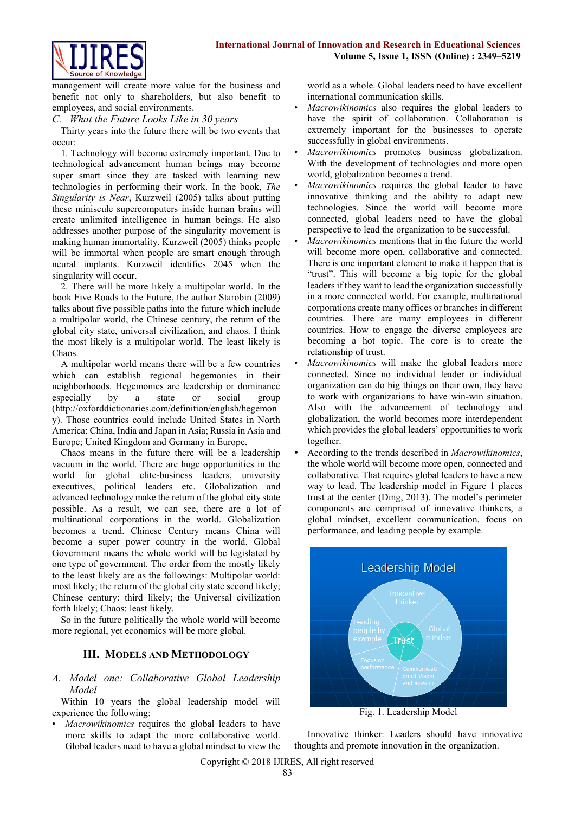

management will create more value for the business and benefit not only to shareholders, but also benefit to employees, and social environments.

## *C. What the Future Looks Like in 30 years*

Thirty years into the future there will be two events that occur:

1. Technology will become extremely important. Due to technological advancement human beings may become super smart since they are tasked with learning new technologies in performing their work. In the book, *The Singularity is Near*, Kurzweil (2005) talks about putting these miniscule supercomputers inside human brains will create unlimited intelligence in human beings. He also addresses another purpose of the singularity movement is making human immortality. Kurzweil (2005) thinks people will be immortal when people are smart enough through neural implants. Kurzweil identifies 2045 when the singularity will occur.

2. There will be more likely a multipolar world. In the book Five Roads to the Future, the author Starobin (2009) talks about five possible paths into the future which include a multipolar world, the Chinese century, the return of the global city state, universal civilization, and chaos. I think the most likely is a multipolar world. The least likely is Chaos.

A multipolar world means there will be a few countries which can establish regional hegemonies in their neighborhoods. Hegemonies are leadership or dominance especially by a state or social group (http://oxforddictionaries.com/definition/english/hegemon y). Those countries could include United States in North America; China, India and Japan in Asia; Russia in Asia and Europe; United Kingdom and Germany in Europe.

Chaos means in the future there will be a leadership vacuum in the world. There are huge opportunities in the world for global elite-business leaders, university executives, political leaders etc. Globalization and advanced technology make the return of the global city state possible. As a result, we can see, there are a lot of multinational corporations in the world. Globalization becomes a trend. Chinese Century means China will become a super power country in the world. Global Government means the whole world will be legislated by one type of government. The order from the mostly likely to the least likely are as the followings: Multipolar world: most likely; the return of the global city state second likely; Chinese century: third likely; the Universal civilization forth likely; Chaos: least likely.

So in the future politically the whole world will become more regional, yet economics will be more global.

# **III. MODELS AND METHODOLOGY**

*A. Model one: Collaborative Global Leadership Model* 

Within 10 years the global leadership model will experience the following:

• *Macrowikinomics* requires the global leaders to have more skills to adapt the more collaborative world. Global leaders need to have a global mindset to view the world as a whole. Global leaders need to have excellent international communication skills.

- *Macrowikinomics* also requires the global leaders to have the spirit of collaboration. Collaboration is extremely important for the businesses to operate successfully in global environments.
- *Macrowikinomics* promotes business globalization. With the development of technologies and more open world, globalization becomes a trend.
- *Macrowikinomics* requires the global leader to have innovative thinking and the ability to adapt new technologies. Since the world will become more connected, global leaders need to have the global perspective to lead the organization to be successful.
- *Macrowikinomics* mentions that in the future the world will become more open, collaborative and connected. There is one important element to make it happen that is "trust". This will become a big topic for the global leaders if they want to lead the organization successfully in a more connected world. For example, multinational corporations create many offices or branches in different countries. There are many employees in different countries. How to engage the diverse employees are becoming a hot topic. The core is to create the relationship of trust.
- *Macrowikinomics* will make the global leaders more connected. Since no individual leader or individual organization can do big things on their own, they have to work with organizations to have win-win situation. Also with the advancement of technology and globalization, the world becomes more interdependent which provides the global leaders' opportunities to work together.
- According to the trends described in *Macrowikinomics*, the whole world will become more open, connected and collaborative. That requires global leaders to have a new way to lead. The leadership model in Figure 1 places trust at the center (Ding, 2013). The model's perimeter components are comprised of innovative thinkers, a global mindset, excellent communication, focus on performance, and leading people by example.



Fig. 1. Leadership Model

Innovative thinker: Leaders should have innovative thoughts and promote innovation in the organization.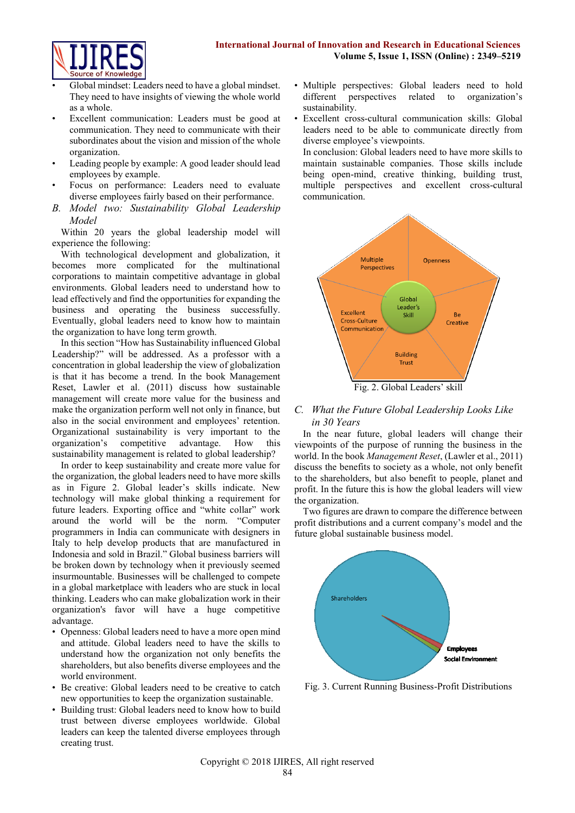

- Global mindset: Leaders need to have a global mindset. They need to have insights of viewing the whole world as a whole.
- Excellent communication: Leaders must be good at communication. They need to communicate with their subordinates about the vision and mission of the whole organization.
- Leading people by example: A good leader should lead employees by example.
- Focus on performance: Leaders need to evaluate diverse employees fairly based on their performance.
- *B. Model two: Sustainability Global Leadership Model*

Within 20 years the global leadership model will experience the following:

With technological development and globalization, it becomes more complicated for the multinational corporations to maintain competitive advantage in global environments. Global leaders need to understand how to lead effectively and find the opportunities for expanding the business and operating the business successfully. Eventually, global leaders need to know how to maintain the organization to have long term growth.

In this section "How has Sustainability influenced Global Leadership?" will be addressed. As a professor with a concentration in global leadership the view of globalization is that it has become a trend. In the book Management Reset, Lawler et al. (2011) discuss how sustainable management will create more value for the business and make the organization perform well not only in finance, but also in the social environment and employees' retention. Organizational sustainability is very important to the organization's competitive advantage. How this sustainability management is related to global leadership?

In order to keep sustainability and create more value for the organization, the global leaders need to have more skills as in Figure 2. Global leader's skills indicate. New technology will make global thinking a requirement for future leaders. Exporting office and "white collar" work around the world will be the norm. "Computer programmers in India can communicate with designers in Italy to help develop products that are manufactured in Indonesia and sold in Brazil." Global business barriers will be broken down by technology when it previously seemed insurmountable. Businesses will be challenged to compete in a global marketplace with leaders who are stuck in local thinking. Leaders who can make globalization work in their organization's favor will have a huge competitive advantage.

- Openness: Global leaders need to have a more open mind and attitude. Global leaders need to have the skills to understand how the organization not only benefits the shareholders, but also benefits diverse employees and the world environment.
- Be creative: Global leaders need to be creative to catch new opportunities to keep the organization sustainable.
- Building trust: Global leaders need to know how to build trust between diverse employees worldwide. Global leaders can keep the talented diverse employees through creating trust.
- Multiple perspectives: Global leaders need to hold different perspectives related to organization's sustainability.
- Excellent cross-cultural communication skills: Global leaders need to be able to communicate directly from diverse employee's viewpoints.

In conclusion: Global leaders need to have more skills to maintain sustainable companies. Those skills include being open-mind, creative thinking, building trust, multiple perspectives and excellent cross-cultural communication.



# *C. What the Future Global Leadership Looks Like in 30 Years*

In the near future, global leaders will change their viewpoints of the purpose of running the business in the world. In the book *Management Reset*, (Lawler et al., 2011) discuss the benefits to society as a whole, not only benefit to the shareholders, but also benefit to people, planet and profit. In the future this is how the global leaders will view the organization.

Two figures are drawn to compare the difference between profit distributions and a current company's model and the future global sustainable business model.



Fig. 3. Current Running Business-Profit Distributions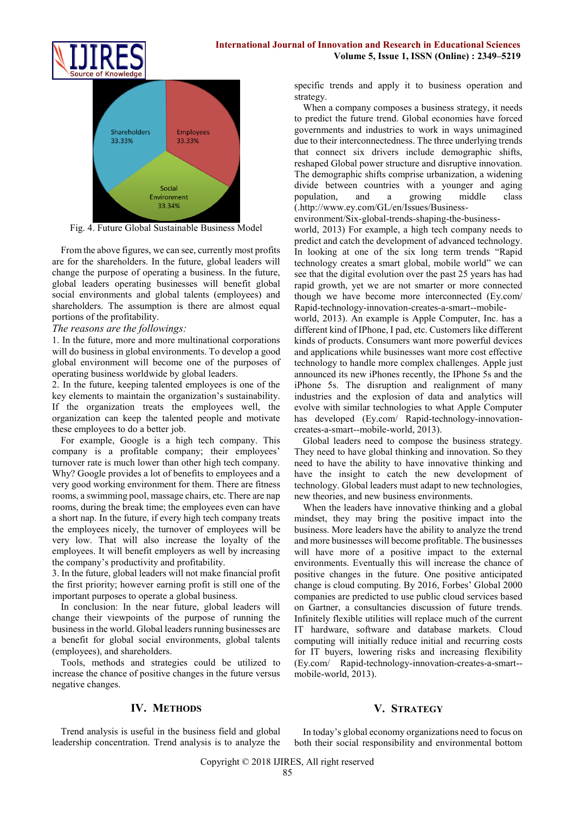



Fig. 4. Future Global Sustainable Business Model

From the above figures, we can see, currently most profits are for the shareholders. In the future, global leaders will change the purpose of operating a business. In the future, global leaders operating businesses will benefit global social environments and global talents (employees) and shareholders. The assumption is there are almost equal portions of the profitability.

## *The reasons are the followings:*

1. In the future, more and more multinational corporations will do business in global environments. To develop a good global environment will become one of the purposes of operating business worldwide by global leaders.

2. In the future, keeping talented employees is one of the key elements to maintain the organization's sustainability. If the organization treats the employees well, the organization can keep the talented people and motivate these employees to do a better job.

For example, Google is a high tech company. This company is a profitable company; their employees' turnover rate is much lower than other high tech company. Why? Google provides a lot of benefits to employees and a very good working environment for them. There are fitness rooms, a swimming pool, massage chairs, etc. There are nap rooms, during the break time; the employees even can have a short nap. In the future, if every high tech company treats the employees nicely, the turnover of employees will be very low. That will also increase the loyalty of the employees. It will benefit employers as well by increasing the company's productivity and profitability.

3. In the future, global leaders will not make financial profit the first priority; however earning profit is still one of the important purposes to operate a global business.

In conclusion: In the near future, global leaders will change their viewpoints of the purpose of running the business in the world. Global leaders running businesses are a benefit for global social environments, global talents (employees), and shareholders.

Tools, methods and strategies could be utilized to increase the chance of positive changes in the future versus negative changes.

specific trends and apply it to business operation and strategy.

When a company composes a business strategy, it needs to predict the future trend. Global economies have forced governments and industries to work in ways unimagined due to their interconnectedness. The three underlying trends that connect six drivers include demographic shifts, reshaped Global power structure and disruptive innovation. The demographic shifts comprise urbanization, a widening divide between countries with a younger and aging population, and a growing middle class (.http://www.ey.com/GL/en/Issues/Business-

environment/Six-global-trends-shaping-the-business-

world, 2013) For example, a high tech company needs to predict and catch the development of advanced technology. In looking at one of the six long term trends "Rapid technology creates a smart global, mobile world" we can see that the digital evolution over the past 25 years has had rapid growth, yet we are not smarter or more connected though we have become more interconnected (Ey.com/ Rapid-technology-innovation-creates-a-smart--mobile-

world, 2013). An example is Apple Computer, Inc. has a different kind of IPhone, I pad, etc. Customers like different kinds of products. Consumers want more powerful devices and applications while businesses want more cost effective technology to handle more complex challenges. Apple just announced its new iPhones recently, the IPhone 5s and the iPhone 5s. The disruption and realignment of many industries and the explosion of data and analytics will evolve with similar technologies to what Apple Computer has developed (Ey.com/ Rapid-technology-innovationcreates-a-smart--mobile-world, 2013).

Global leaders need to compose the business strategy. They need to have global thinking and innovation. So they need to have the ability to have innovative thinking and have the insight to catch the new development of technology. Global leaders must adapt to new technologies, new theories, and new business environments.

When the leaders have innovative thinking and a global mindset, they may bring the positive impact into the business. More leaders have the ability to analyze the trend and more businesses will become profitable. The businesses will have more of a positive impact to the external environments. Eventually this will increase the chance of positive changes in the future. One positive anticipated change is cloud computing. By 2016, Forbes' Global 2000 companies are predicted to use public cloud services based on Gartner, a consultancies discussion of future trends. Infinitely flexible utilities will replace much of the current IT hardware, software and database markets. Cloud computing will initially reduce initial and recurring costs for IT buyers, lowering risks and increasing flexibility (Ey.com/ Rapid-technology-innovation-creates-a-smart- mobile-world, 2013).

# **IV. METHODS**

Trend analysis is useful in the business field and global leadership concentration. Trend analysis is to analyze the

# **V. STRATEGY**

In today's global economy organizations need to focus on both their social responsibility and environmental bottom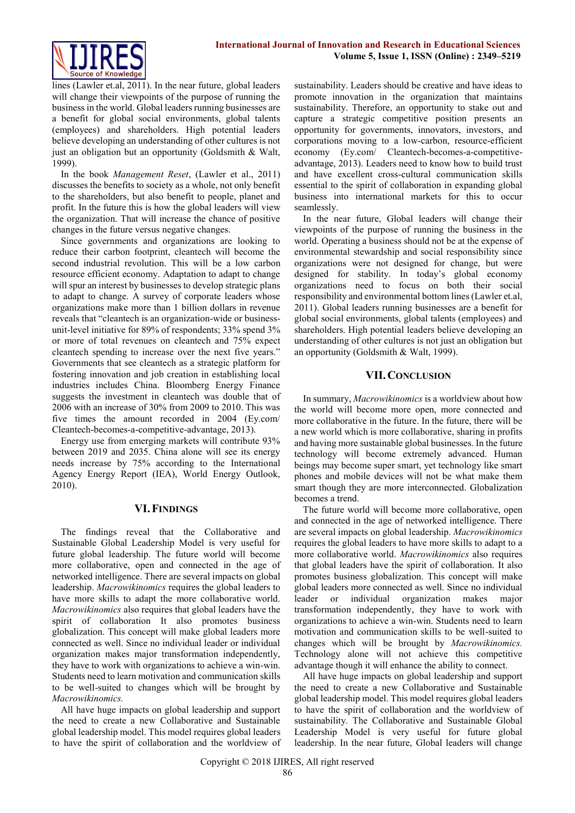

lines (Lawler et.al, 2011). In the near future, global leaders will change their viewpoints of the purpose of running the business in the world. Global leaders running businesses are a benefit for global social environments, global talents (employees) and shareholders. High potential leaders believe developing an understanding of other cultures is not just an obligation but an opportunity (Goldsmith & Walt, 1999).

In the book *Management Reset*, (Lawler et al., 2011) discusses the benefits to society as a whole, not only benefit to the shareholders, but also benefit to people, planet and profit. In the future this is how the global leaders will view the organization. That will increase the chance of positive changes in the future versus negative changes.

Since governments and organizations are looking to reduce their carbon footprint, cleantech will become the second industrial revolution. This will be a low carbon resource efficient economy. Adaptation to adapt to change will spur an interest by businesses to develop strategic plans to adapt to change. A survey of corporate leaders whose organizations make more than 1 billion dollars in revenue reveals that "cleantech is an organization-wide or businessunit-level initiative for 89% of respondents; 33% spend 3% or more of total revenues on cleantech and 75% expect cleantech spending to increase over the next five years." Governments that see cleantech as a strategic platform for fostering innovation and job creation in establishing local industries includes China. Bloomberg Energy Finance suggests the investment in cleantech was double that of 2006 with an increase of 30% from 2009 to 2010. This was five times the amount recorded in 2004 (Ey.com/ Cleantech-becomes-a-competitive-advantage, 2013).

Energy use from emerging markets will contribute 93% between 2019 and 2035. China alone will see its energy needs increase by 75% according to the International Agency Energy Report (IEA), World Energy Outlook, 2010).

# **VI.FINDINGS**

The findings reveal that the Collaborative and Sustainable Global Leadership Model is very useful for future global leadership. The future world will become more collaborative, open and connected in the age of networked intelligence. There are several impacts on global leadership. *Macrowikinomics* requires the global leaders to have more skills to adapt the more collaborative world. *Macrowikinomics* also requires that global leaders have the spirit of collaboration It also promotes business globalization. This concept will make global leaders more connected as well. Since no individual leader or individual organization makes major transformation independently, they have to work with organizations to achieve a win-win. Students need to learn motivation and communication skills to be well-suited to changes which will be brought by *Macrowikinomics.*

All have huge impacts on global leadership and support the need to create a new Collaborative and Sustainable global leadership model. This model requires global leaders to have the spirit of collaboration and the worldview of sustainability. Leaders should be creative and have ideas to promote innovation in the organization that maintains sustainability. Therefore, an opportunity to stake out and capture a strategic competitive position presents an opportunity for governments, innovators, investors, and corporations moving to a low-carbon, resource-efficient economy (Ey.com/ Cleantech-becomes-a-competitiveadvantage, 2013). Leaders need to know how to build trust and have excellent cross-cultural communication skills essential to the spirit of collaboration in expanding global business into international markets for this to occur seamlessly.

In the near future, Global leaders will change their viewpoints of the purpose of running the business in the world. Operating a business should not be at the expense of environmental stewardship and social responsibility since organizations were not designed for change, but were designed for stability. In today's global economy organizations need to focus on both their social responsibility and environmental bottom lines (Lawler et.al, 2011). Global leaders running businesses are a benefit for global social environments, global talents (employees) and shareholders. High potential leaders believe developing an understanding of other cultures is not just an obligation but an opportunity (Goldsmith & Walt, 1999).

#### **VII.CONCLUSION**

In summary, *Macrowikinomics* is a worldview about how the world will become more open, more connected and more collaborative in the future. In the future, there will be a new world which is more collaborative, sharing in profits and having more sustainable global businesses. In the future technology will become extremely advanced. Human beings may become super smart, yet technology like smart phones and mobile devices will not be what make them smart though they are more interconnected. Globalization becomes a trend.

The future world will become more collaborative, open and connected in the age of networked intelligence. There are several impacts on global leadership. *Macrowikinomics* requires the global leaders to have more skills to adapt to a more collaborative world. *Macrowikinomics* also requires that global leaders have the spirit of collaboration. It also promotes business globalization. This concept will make global leaders more connected as well. Since no individual leader or individual organization makes major transformation independently, they have to work with organizations to achieve a win-win. Students need to learn motivation and communication skills to be well-suited to changes which will be brought by *Macrowikinomics.* Technology alone will not achieve this competitive advantage though it will enhance the ability to connect.

All have huge impacts on global leadership and support the need to create a new Collaborative and Sustainable global leadership model. This model requires global leaders to have the spirit of collaboration and the worldview of sustainability. The Collaborative and Sustainable Global Leadership Model is very useful for future global leadership. In the near future, Global leaders will change